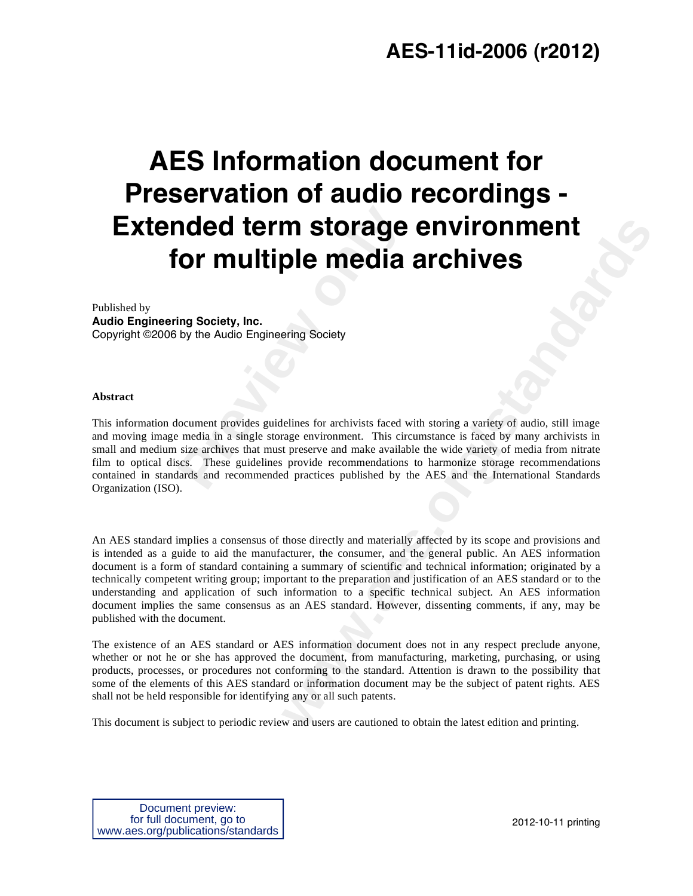# **AES-11id-2006 (r2012)**

# **AES Information document for Preservation of audio recordings - Extended term storage environment for multiple media archives**

Published by **Audio Engineering Society, Inc.**  Copyright ©2006 by the Audio Engineering Society

#### **Abstract**

**Previoled term storage<br>
<b>Previolence media (Previolence Audio Engineering Society)**<br>
by the Audio Engineering Society<br> **Previolence Audio Engineering Society**<br> **Previolence Audio Engineering Society**<br> **Previolence and mas** This information document provides guidelines for archivists faced with storing a variety of audio, still image and moving image media in a single storage environment. This circumstance is faced by many archivists in small and medium size archives that must preserve and make available the wide variety of media from nitrate film to optical discs. These guidelines provide recommendations to harmonize storage recommendations contained in standards and recommended practices published by the AES and the International Standards Organization (ISO).

**m storage environments**<br> **where the conduct of the conduct of the conduct of the standard standard are conducted and the preserve and material provide recommendations to harmonize since by many archivists in provide recom** An AES standard implies a consensus of those directly and materially affected by its scope and provisions and is intended as a guide to aid the manufacturer, the consumer, and the general public. An AES information document is a form of standard containing a summary of scientific and technical information; originated by a technically competent writing group; important to the preparation and justification of an AES standard or to the understanding and application of such information to a specific technical subject. An AES information document implies the same consensus as an AES standard. However, dissenting comments, if any, may be published with the document.

The existence of an AES standard or AES information document does not in any respect preclude anyone, whether or not he or she has approved the document, from manufacturing, marketing, purchasing, or using products, processes, or procedures not conforming to the standard. Attention is drawn to the possibility that some of the elements of this AES standard or information document may be the subject of patent rights. AES shall not be held responsible for identifying any or all such patents.

This document is subject to periodic review and users are cautioned to obtain the latest edition and printing.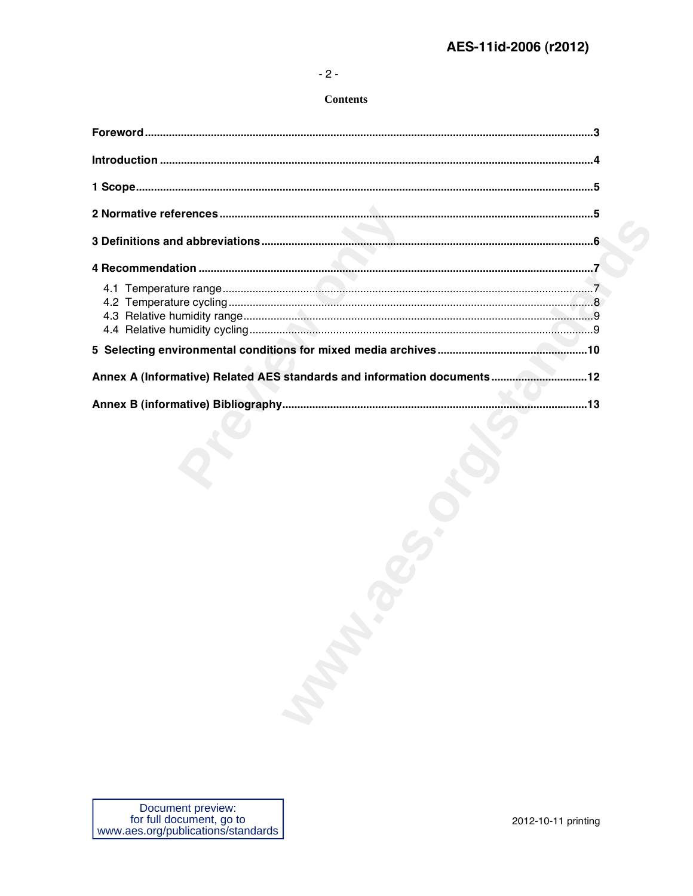#### $-2-$

#### **Contents**

| Annex A (Informative) Related AES standards and information documents12 |
|-------------------------------------------------------------------------|
|                                                                         |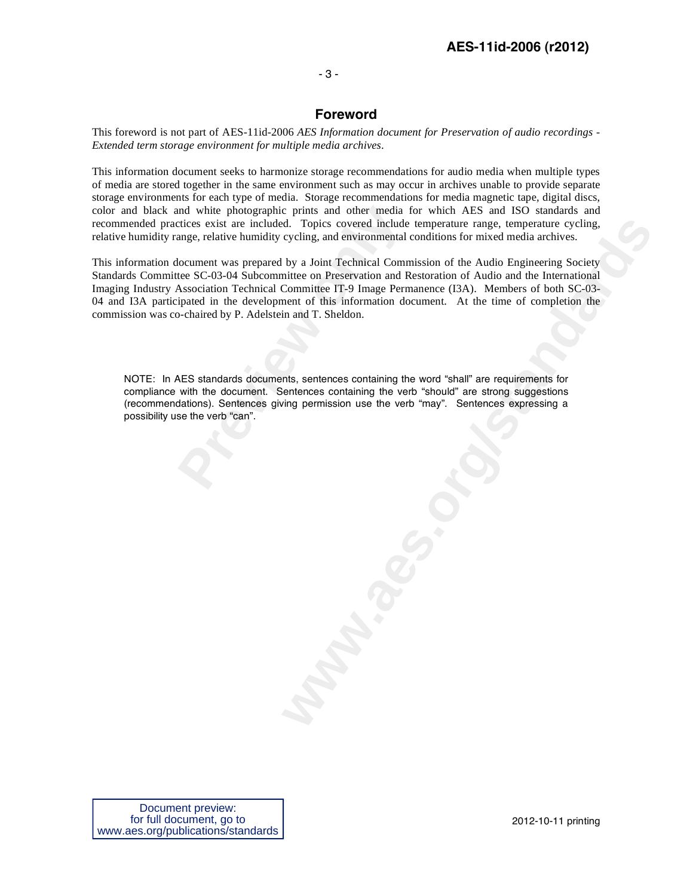#### - 3 -

# **Foreword**

This foreword is not part of AES-11id-2006 *AES Information document for Preservation of audio recordings - Extended term storage environment for multiple media archives*.

This information document seeks to harmonize storage recommendations for audio media when multiple types of media are stored together in the same environment such as may occur in archives unable to provide separate storage environments for each type of media. Storage recommendations for media magnetic tape, digital discs, color and black and white photographic prints and other media for which AES and ISO standards and recommended practices exist are included. Topics covered include temperature range, temperature cycling, relative humidity range, relative humidity cycling, and environmental conditions for mixed media archives.

md white photographic prints and other media<br>tices exist are included. Topics covered include<br>ange, relative humidity cycling, and environmental<br>locument was prepared by a Joint Technical Comr<br>tee SC-03-04 Subcommittee on d. Topics covered include temperature range, temperature cycling, cycling, and environmental conditions for mixed media archives.<br>by a Joint Technical Commission of the Audio Engineering Society by a Joint Technical Commis This information document was prepared by a Joint Technical Commission of the Audio Engineering Society Standards Committee SC-03-04 Subcommittee on Preservation and Restoration of Audio and the International Imaging Industry Association Technical Committee IT-9 Image Permanence (I3A). Members of both SC-03- 04 and I3A participated in the development of this information document. At the time of completion the commission was co-chaired by P. Adelstein and T. Sheldon.

NOTE: In AES standards documents, sentences containing the word "shall" are requirements for compliance with the document. Sentences containing the verb "should" are strong suggestions (recommendations). Sentences giving permission use the verb "may". Sentences expressing a possibility use the verb "can".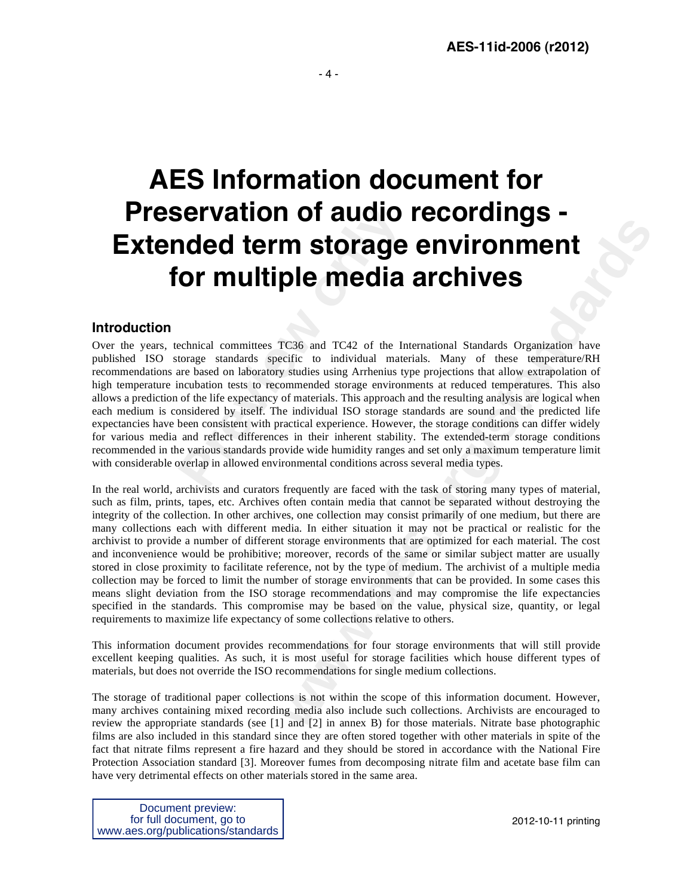# **AES Information document for Preservation of audio recordings - Extended term storage environment for multiple media archives**

## **Introduction**

**Previous Constrained Servents (Servents)**<br> **Previous Constrained Servents (Servents)**<br> **Previous Constrained Servents (Servents)**<br> **Previous Constrained Servents (Servents)**<br> **Previous Constrained Servents (Servents)**<br> **P** Over the years, technical committees TC36 and TC42 of the International Standards Organization have published ISO storage standards specific to individual materials. Many of these temperature/RH recommendations are based on laboratory studies using Arrhenius type projections that allow extrapolation of high temperature incubation tests to recommended storage environments at reduced temperatures. This also allows a prediction of the life expectancy of materials. This approach and the resulting analysis are logical when each medium is considered by itself. The individual ISO storage standards are sound and the predicted life expectancies have been consistent with practical experience. However, the storage conditions can differ widely for various media and reflect differences in their inherent stability. The extended-term storage conditions recommended in the various standards provide wide humidity ranges and set only a maximum temperature limit with considerable overlap in allowed environmental conditions across several media types.

**INTERT CONTRACT CONTRACT CONTRACT CONTRACT CONTRACT CONTRACT CONSUMPLED CONTRACT CONSUMPLED CONTRACT CONSUMPLED CONTRACT CONTRACT CONTRACT CONTRACT CONTRACT CONSULS IN THE SURFACT CONTRACT CONSULS AND MOVED CONSULS IN THE** In the real world, archivists and curators frequently are faced with the task of storing many types of material, such as film, prints, tapes, etc. Archives often contain media that cannot be separated without destroying the integrity of the collection. In other archives, one collection may consist primarily of one medium, but there are many collections each with different media. In either situation it may not be practical or realistic for the archivist to provide a number of different storage environments that are optimized for each material. The cost and inconvenience would be prohibitive; moreover, records of the same or similar subject matter are usually stored in close proximity to facilitate reference, not by the type of medium. The archivist of a multiple media collection may be forced to limit the number of storage environments that can be provided. In some cases this means slight deviation from the ISO storage recommendations and may compromise the life expectancies specified in the standards. This compromise may be based on the value, physical size, quantity, or legal requirements to maximize life expectancy of some collections relative to others.

This information document provides recommendations for four storage environments that will still provide excellent keeping qualities. As such, it is most useful for storage facilities which house different types of materials, but does not override the ISO recommendations for single medium collections.

The storage of traditional paper collections is not within the scope of this information document. However, many archives containing mixed recording media also include such collections. Archivists are encouraged to review the appropriate standards (see [1] and [2] in annex B) for those materials. Nitrate base photographic films are also included in this standard since they are often stored together with other materials in spite of the fact that nitrate films represent a fire hazard and they should be stored in accordance with the National Fire Protection Association standard [3]. Moreover fumes from decomposing nitrate film and acetate base film can have very detrimental effects on other materials stored in the same area.

Document preview: for full document, go to www.aes.org/publications/standards

2012-10-11 printing